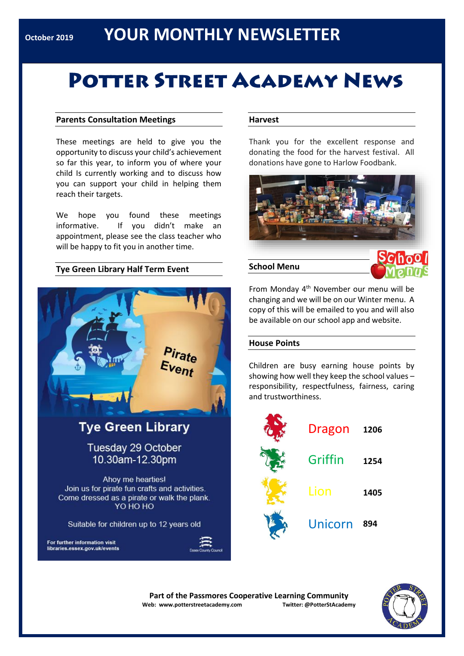# **POTTER STREET ACADEMY NEWS**

#### **Parents Consultation Meetings**

These meetings are held to give you the opportunity to discuss your child's achievement so far this year, to inform you of where your child Is currently working and to discuss how you can support your child in helping them reach their targets.

We hope you found these meetings informative. If you didn't make an appointment, please see the class teacher who will be happy to fit you in another time.

#### **Tye Green Library Half Term Event**



Suitable for children up to 12 years old

For further information visit libraries.essex.gov.uk/events



#### **Harvest**

Thank you for the excellent response and donating the food for the harvest festival. All donations have gone to Harlow Foodbank.



#### **School Menu**



From Monday 4th November our menu will be changing and we will be on our Winter menu. A copy of this will be emailed to you and will also be available on our school app and website.

#### **House Points**

Children are busy earning house points by showing how well they keep the school values – responsibility, respectfulness, fairness, caring and trustworthiness.

| Dragon  | 1206 |
|---------|------|
| Griffin | 1254 |
| Lion    | 1405 |
| Unicorn | 894  |

**Part of the Passmores Cooperative Learning Community Web: www.potterstreetacademy.com Twitter: @PotterStAcademy**

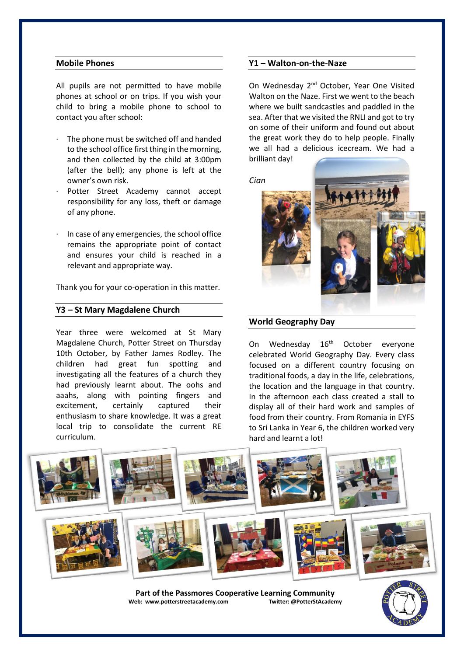#### **Mobile Phones**

All pupils are not permitted to have mobile phones at school or on trips. If you wish your child to bring a mobile phone to school to contact you after school:

- The phone must be switched off and handed to the school office first thing in the morning, and then collected by the child at 3:00pm (after the bell); any phone is left at the owner's own risk.
- Potter Street Academy cannot accept responsibility for any loss, theft or damage of any phone.
- In case of any emergencies, the school office remains the appropriate point of contact and ensures your child is reached in a relevant and appropriate way.

Thank you for your co-operation in this matter.

#### **Y3 – St Mary Magdalene Church**

Year three were welcomed at St Mary Magdalene Church, Potter Street on Thursday 10th October, by Father James Rodley. The children had great fun spotting and investigating all the features of a church they had previously learnt about. The oohs and aaahs, along with pointing fingers and excitement, certainly captured their enthusiasm to share knowledge. It was a great local trip to consolidate the current RE curriculum.

#### **Y1 – Walton-on-the-Naze**

On Wednesdav 2<sup>nd</sup> October, Year One Visited Walton on the Naze. First we went to the beach where we built sandcastles and paddled in the sea. After that we visited the RNLI and got to try on some of their uniform and found out about the great work they do to help people. Finally we all had a delicious icecream. We had a brilliant day!

*Cian* 



#### **World Geography Day**

On Wednesday 16<sup>th</sup> October everyone celebrated World Geography Day. Every class focused on a different country focusing on traditional foods, a day in the life, celebrations, the location and the language in that country. In the afternoon each class created a stall to display all of their hard work and samples of food from their country. From Romania in EYFS to Sri Lanka in Year 6, the children worked very hard and learnt a lot!



Part of the Passmores Cooperative Learning Community<br>eb: www.potterstreetacademy.com **Twitter:** @PotterStAcademy **Web: www.potterstreetacademy.com** 

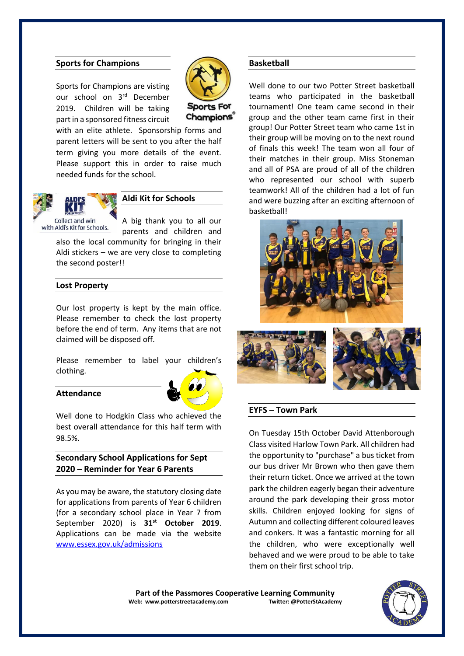#### **Sports for Champions**

Sports for Champions are visting our school on 3rd December 2019. Children will be taking part in a sponsored fitness circuit



Champions

with an elite athlete. Sponsorship forms and parent letters will be sent to you after the half term giving you more details of the event. Please support this in order to raise much needed funds for the school.



#### **Aldi Kit for Schools**

A big thank you to all our parents and children and

also the local community for bringing in their Aldi stickers – we are very close to completing the second poster!!

#### **Lost Property**

Our lost property is kept by the main office. Please remember to check the lost property before the end of term. Any items that are not claimed will be disposed off.

Please remember to label your children's clothing.

#### **Attendance**



Well done to Hodgkin Class who achieved the best overall attendance for this half term with 98.5%.

#### **Secondary School Applications for Sept 2020 – Reminder for Year 6 Parents**

As you may be aware, the statutory closing date for applications from parents of Year 6 children (for a secondary school place in Year 7 from September 2020) is **31st October 2019**. Applications can be made via the website [www.essex.gov.uk/admissions](http://www.essex.gov.uk/admissions)

#### **Basketball**

Well done to our two Potter Street basketball teams who participated in the basketball tournament! One team came second in their group and the other team came first in their group! Our Potter Street team who came 1st in their group will be moving on to the next round of finals this week! The team won all four of their matches in their group. Miss Stoneman and all of PSA are proud of all of the children who represented our school with superb teamwork! All of the children had a lot of fun and were buzzing after an exciting afternoon of basketball!





#### **EYFS – Town Park**

On Tuesday 15th October David Attenborough Class visited Harlow Town Park. All children had the opportunity to "purchase" a bus ticket from our bus driver Mr Brown who then gave them their return ticket. Once we arrived at the town park the children eagerly began their adventure around the park developing their gross motor skills. Children enjoyed looking for signs of Autumn and collecting different coloured leaves and conkers. It was a fantastic morning for all the children, who were exceptionally well behaved and we were proud to be able to take them on their first school trip.

**Part of the Passmores Cooperative Learning Community**<br>eb: www.potterstreetacademy.com Iwitter: @PotterStAcademy **Web: www.potterstreetacademy.com** 

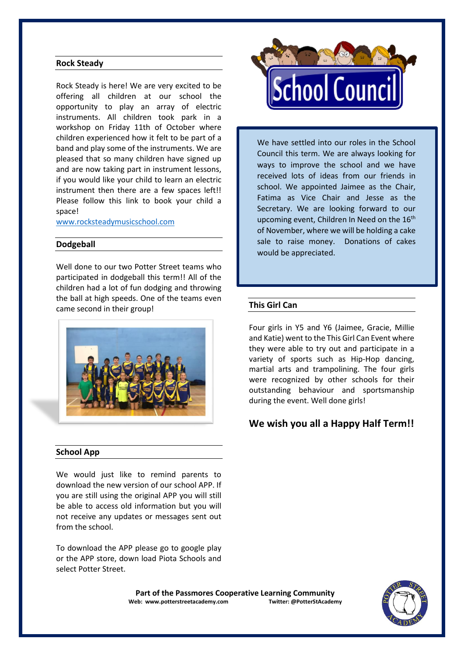#### **Rock Steady**

Rock Steady is here! We are very excited to be offering all children at our school the opportunity to play an array of electric instruments. All children took park in a workshop on Friday 11th of October where children experienced how it felt to be part of a band and play some of the instruments. We are pleased that so many children have signed up and are now taking part in instrument lessons, if you would like your child to learn an electric instrument then there are a few spaces left!! Please follow this link to book your child a space!

[www.rocksteadymusicschool.com](http://www.rocksteadymusicschool.com/)

#### **Dodgeball**

Well done to our two Potter Street teams who participated in dodgeball this term!! All of the children had a lot of fun dodging and throwing the ball at high speeds. One of the teams even came second in their group!



#### **School App**

We would just like to remind parents to download the new version of our school APP. If you are still using the original APP you will still be able to access old information but you will not receive any updates or messages sent out from the school.

To download the APP please go to google play or the APP store, down load Piota Schools and select Potter Street.



We have settled into our roles in the School Council this term. We are always looking for ways to improve the school and we have received lots of ideas from our friends in school. We appointed Jaimee as the Chair, Fatima as Vice Chair and Jesse as the Secretary. We are looking forward to our upcoming event, Children In Need on the  $16<sup>th</sup>$ of November, where we will be holding a cake sale to raise money. Donations of cakes would be appreciated.

#### **This Girl Can**

Four girls in Y5 and Y6 (Jaimee, Gracie, Millie and Katie) went to the This Girl Can Event where they were able to try out and participate in a variety of sports such as Hip-Hop dancing, martial arts and trampolining. The four girls were recognized by other schools for their outstanding behaviour and sportsmanship during the event. Well done girls!

### **We wish you all a Happy Half Term!!**

Part of the Passmores Cooperative Learning Community<br>eb: www.potterstreetacademy.com **Twitter:** @PotterStAcademy **Web: www.potterstreetacademy.com**